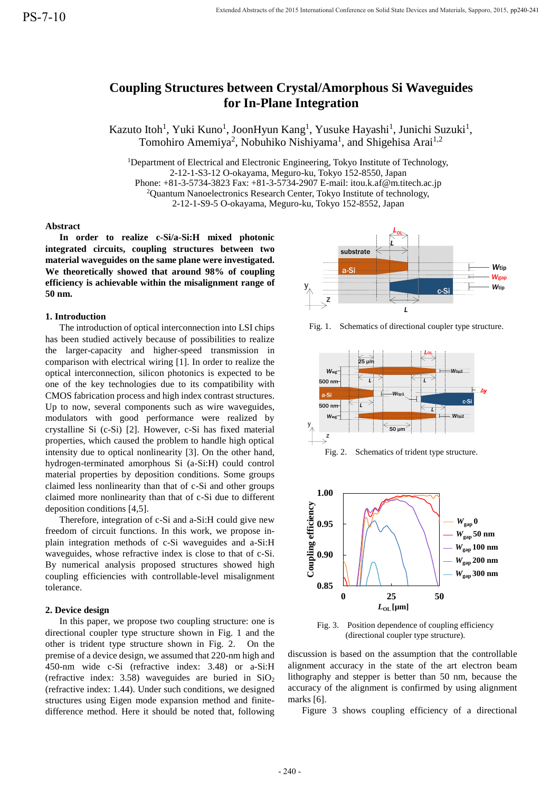# **Coupling Structures between Crystal/Amorphous Si Waveguides for In-Plane Integration**

Kazuto Itoh<sup>1</sup>, Yuki Kuno<sup>1</sup>, JoonHyun Kang<sup>1</sup>, Yusuke Hayashi<sup>1</sup>, Junichi Suzuki<sup>1</sup>, Tomohiro Amemiya<sup>2</sup>, Nobuhiko Nishiyama<sup>1</sup>, and Shigehisa Arai<sup>1,2</sup>

<sup>1</sup>Department of Electrical and Electronic Engineering, Tokyo Institute of Technology, 2-12-1-S3-12 O-okayama, Meguro-ku, Tokyo 152-8550, Japan Phone: +81-3-5734-3823 Fax: +81-3-5734-2907 E-mail: itou.k.af@m.titech.ac.jp  $2$ Quantum Nanoelectronics Research Center, Tokyo Institute of technology, 2-12-1-S9-5 O-okayama, Meguro-ku, Tokyo 152-8552, Japan

# **Abstract**

**In order to realize c-Si/a-Si:H mixed photonic integrated circuits, coupling structures between two material waveguides on the same plane were investigated. We theoretically showed that around 98% of coupling efficiency is achievable within the misalignment range of 50 nm.**

# **1. Introduction**

The introduction of optical interconnection into LSI chips has been studied actively because of possibilities to realize the larger-capacity and higher-speed transmission in comparison with electrical wiring [1]. In order to realize the optical interconnection, silicon photonics is expected to be one of the key technologies due to its compatibility with CMOS fabrication process and high index contrast structures. Up to now, several components such as wire waveguides, modulators with good performance were realized by crystalline Si (c-Si) [2]. However, c-Si has fixed material properties, which caused the problem to handle high optical intensity due to optical nonlinearity [3]. On the other hand, hydrogen-terminated amorphous Si (a-Si:H) could control material properties by deposition conditions. Some groups claimed less nonlinearity than that of c-Si and other groups claimed more nonlinearity than that of c-Si due to different deposition conditions [4,5].

Therefore, integration of c-Si and a-Si:H could give new freedom of circuit functions. In this work, we propose inplain integration methods of c-Si waveguides and a-Si:H waveguides, whose refractive index is close to that of c-Si. By numerical analysis proposed structures showed high coupling efficiencies with controllable-level misalignment tolerance.

# **2. Device design**

In this paper, we propose two coupling structure: one is directional coupler type structure shown in Fig. 1 and the other is trident type structure shown in Fig. 2. On the premise of a device design, we assumed that 220-nm high and 450-nm wide c-Si (refractive index: 3.48) or a-Si:H (refractive index: 3.58) waveguides are buried in  $SiO<sub>2</sub>$ (refractive index: 1.44). Under such conditions, we designed structures using Eigen mode expansion method and finitedifference method. Here it should be noted that, following



Fig. 1. Schematics of directional coupler type structure.



Fig. 2. Schematics of trident type structure.



Fig. 3. Position dependence of coupling efficiency (directional coupler type structure).

discussion is based on the assumption that the controllable alignment accuracy in the state of the art electron beam lithography and stepper is better than 50 nm, because the accuracy of the alignment is confirmed by using alignment marks [6].

Figure 3 shows coupling efficiency of a directional